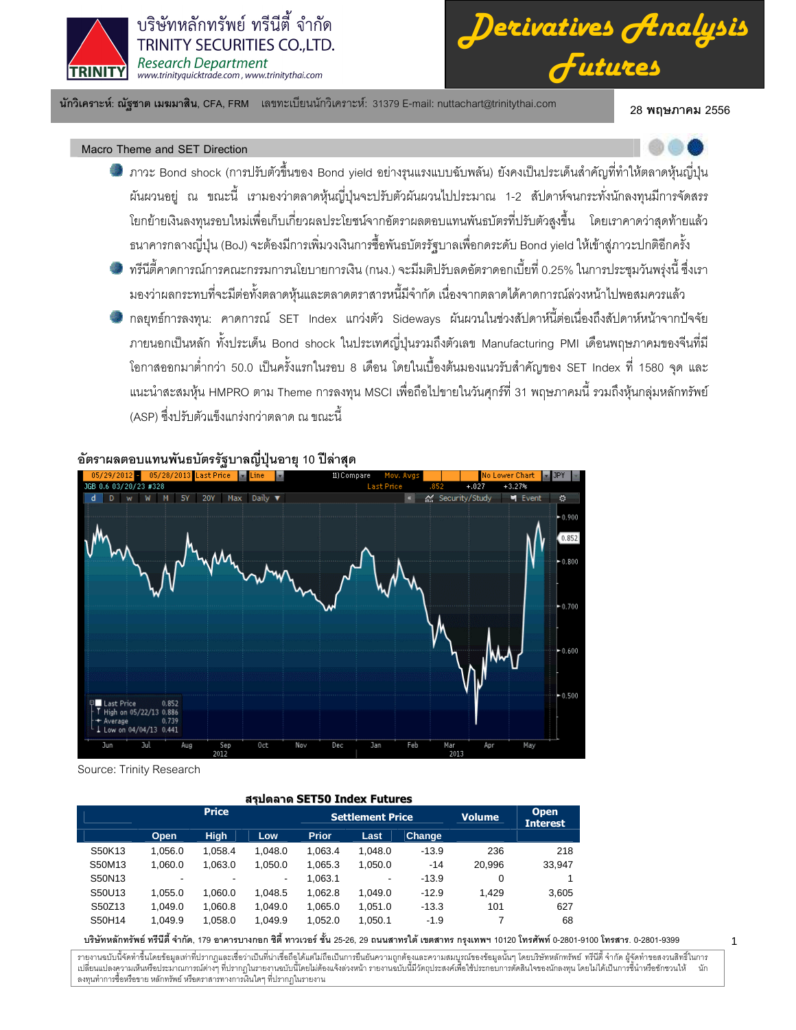



นักวิเคราะห์: ณัฐชาต เมฆมาสิน, CFA, FRM แลขทะเบียนนักวิเคราะห์: 31379 E-mail: nuttachart@trinitythai.com 28 **พ** 

28 พถษภาคม 2556

# Macro Theme and SET Direction

- ภาวะ Bond shock (การปรับตัวขึ้นของ Bond yield อย่างรุนแรงแบบฉับพลัน) ยังคงเป็นประเด็นสำคัญที่ทำให้ตลาดหุ้นญี่ปุ่น ผันผวนอยู่ ณ ขณะนี้ เรามองว่าตลาดหุ้นญี่ปุ่นจะปรับตัวผันผวนไปประมาณ 1-2 สัปดาห์จนกระทั่งนักลงทุนมีการจัดสรร โยกย้ายเงินลงทุนรอบใหม่เพื่อเก็บเกี่ยวผลประโยชน์จากอัตราผลตอบแทนพันธบัตรที่ปรับตัวสูงขึ้น โดยเราคาดว่าสุดท้ายแล้ว ธนาคารกลางญี่ปุ่น (BoJ) จะต้องมีการเพิ่มวงเงินการซื้อพันธบัตรรัฐบาลเพื่อกดระดับ Bond yield ให้เข้าสู่ภาวะปกติอีกครั้ง
- ทรีนีตี้คาดการณ์การคณะกรรมการนโยบายการเงิน (กนง.) จะมีมติปรับลดอัตราดอกเบี้ยที่ 0.25% ในการประชุมวันพรุ่งนี้ ซึ่งเรา j มองว่าผลกระทบที่จะมีต่อทั้งตลาดหุ้นและตลาดตราสารหนี้มีจำกัด เนื่องจากตลาดได้คาดการณ์ล่วงหน้าไปพอสมควรแล้ว
- กลยุทธ์การลงทุน: คาดการณ์ SET Index แกว่งตัว Sideways ผันผวนในช่วงสัปดาห์นี้ต่อเนื่องถึงสัปดาห์หน้าจากปัจจัย ภายนอกเป็นหลัก ทั้งประเด็น Bond shock ในประเทศญี่ปุ่นรวมถึงตัวเลข Manufacturing PMI เดือนพฤษภาคมของจีนที่มี โอกาสออกมาต่ำกว่า 50.0 เป็นครั้งแรกในรอบ 8 เดือน โดยในเบื้องต้นมองแนวรับสำคัญของ SET Index ที่ 1580 จุด และ แนะนำสะสมหุ้น HMPRO ตาม Theme การลงทุน MSCI เพื่อถือไปขายในวันศุกร์ที่ 31 พฤษภาคมนี้ รวมถึงหุ้นกลุ่มหลักทรัพย์ (ASP) ซึ่งปรับตัวแข็งแกร่งกว่าตลาด ณ ขณะนี้



อัตราผลตอบแทนพันธบัตรรัฐบาลญี่ปุ่นอายุ 10 ปีล่าสุด

Source: Trinity Research

| ี สรปดลาด SET50 Index Futures |         |                |                          |              |                         |               |                                |        |  |  |  |  |  |
|-------------------------------|---------|----------------|--------------------------|--------------|-------------------------|---------------|--------------------------------|--------|--|--|--|--|--|
|                               |         | <b>Price</b>   |                          |              | <b>Settlement Price</b> | <b>Volume</b> | <b>Open</b><br><b>Interest</b> |        |  |  |  |  |  |
|                               | Open    | <b>High</b>    | Low                      | <b>Prior</b> | Last                    | <b>Change</b> |                                |        |  |  |  |  |  |
| S50K13                        | 1.056.0 | 1.058.4        | 1.048.0                  | 1.063.4      | 1,048.0                 | $-13.9$       | 236                            | 218    |  |  |  |  |  |
| S50M13                        | 1.060.0 | 1.063.0        | 1.050.0                  | 1.065.3      | 1,050.0                 | $-14$         | 20.996                         | 33,947 |  |  |  |  |  |
| S50N13                        | ٠       | $\blacksquare$ | $\overline{\phantom{a}}$ | 1,063.1      | ٠                       | $-13.9$       | 0                              |        |  |  |  |  |  |
| S50U13                        | 1.055.0 | 1.060.0        | 1.048.5                  | 1,062.8      | 1.049.0                 | $-12.9$       | 1.429                          | 3,605  |  |  |  |  |  |
| S50Z13                        | 1.049.0 | 1.060.8        | 1.049.0                  | 1.065.0      | 1.051.0                 | $-13.3$       | 101                            | 627    |  |  |  |  |  |
| S50H14                        | 1.049.9 | 1.058.0        | 1.049.9                  | 1.052.0      | 1.050.1                 | $-1.9$        |                                | 68     |  |  |  |  |  |

#### บริษัทหลักทรัพย์ ทรีนีตี้ จำกัด, 179 อาคารบางกอก ซิตี้ ทาวเวอร์ ชั้น 25-26, 29 ถนนสาทรได้ เขตสาร กรุงเทพฯ 10120 โทรศัพท์ 0-2801-9399 คำสาร. 0-2801-9399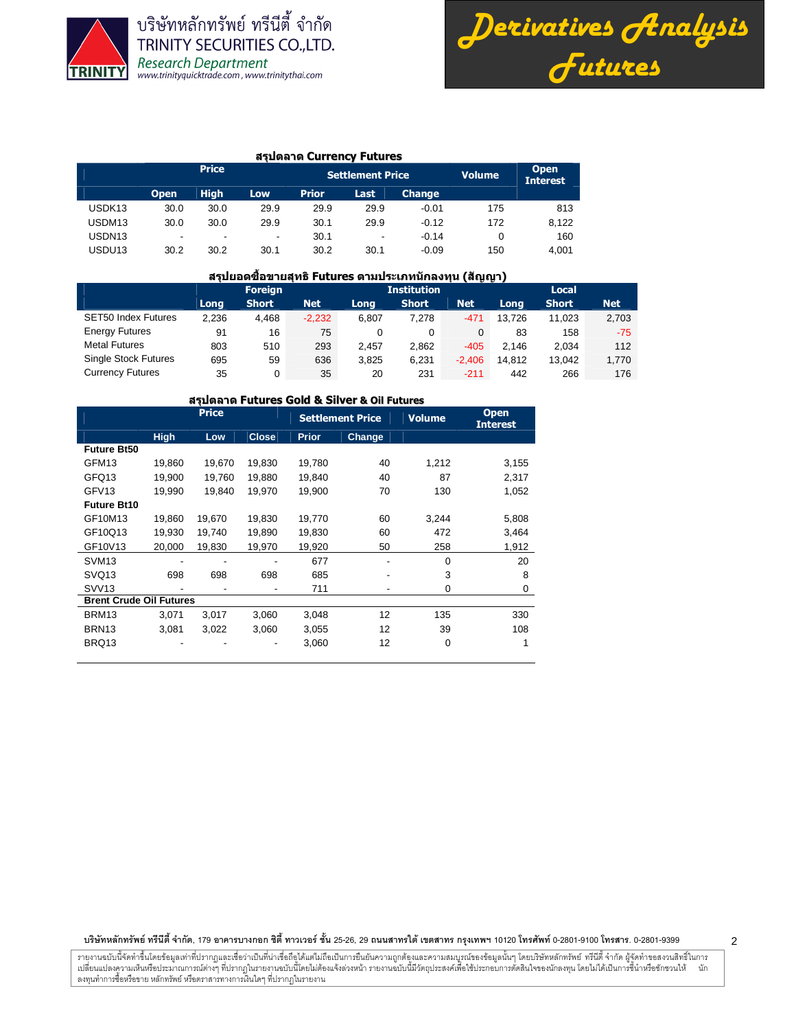



#### สรุปตลาด Currency Futures

|                    |                          | <b>Price</b>             |                          |              | <b>Settlement Price</b> |               | <b>Volume</b> | <b>Open</b><br><b>Interest</b> |
|--------------------|--------------------------|--------------------------|--------------------------|--------------|-------------------------|---------------|---------------|--------------------------------|
|                    | <b>Open</b>              | <b>High</b>              | Low                      | <b>Prior</b> | Last                    | <b>Change</b> |               |                                |
| USDK <sub>13</sub> | 30.0                     | 30.0                     | 29.9                     | 29.9         | 29.9                    | $-0.01$       | 175           | 813                            |
| USDM13             | 30.0                     | 30.0                     | 29.9                     | 30.1         | 29.9                    | $-0.12$       | 172           | 8.122                          |
| USDN <sub>13</sub> | $\overline{\phantom{a}}$ | $\overline{\phantom{0}}$ | $\overline{\phantom{a}}$ | 30.1         | -                       | $-0.14$       |               | 160                            |
| USDU13             | 30.2                     | 30.2                     | 30.1                     | 30.2         | 30.1                    | $-0.09$       | 150           | 4.001                          |

#### ี สรุปยอดชื้อขายสุทธิ Futures ตามประเภทนักลงทุน (สัญญา)

|                             |       | <b>Foreign</b> |            |       | <b>Institution</b> |            |        | Local        |            |  |  |  |  |
|-----------------------------|-------|----------------|------------|-------|--------------------|------------|--------|--------------|------------|--|--|--|--|
|                             | Long  | <b>Short</b>   | <b>Net</b> | Long  | <b>Short</b>       | <b>Net</b> | Long   | <b>Short</b> | <b>Net</b> |  |  |  |  |
| <b>SET50 Index Futures</b>  | 2.236 | 4.468          | $-2,232$   | 6.807 | 7.278              | -471       | 13.726 | 11.023       | 2,703      |  |  |  |  |
| <b>Energy Futures</b>       | 91    | 16             | 75         | 0     | 0                  | 0          | 83     | 158          | $-75$      |  |  |  |  |
| <b>Metal Futures</b>        | 803   | 510            | 293        | 2.457 | 2,862              | $-405$     | 2.146  | 2.034        | 112        |  |  |  |  |
| <b>Single Stock Futures</b> | 695   | 59             | 636        | 3.825 | 6,231              | $-2.406$   | 14.812 | 13.042       | 1,770      |  |  |  |  |
| <b>Currency Futures</b>     | 35    | 0              | 35         | 20    | 231                | $-211$     | 442    | 266          | 176        |  |  |  |  |

## สรุปตลาด Futures Gold & Silver & Oil Futures

|                                |             | <b>Price</b> |              |              | <b>Settlement Price</b> | <b>Volume</b> | <b>Open</b><br><b>Interest</b> |
|--------------------------------|-------------|--------------|--------------|--------------|-------------------------|---------------|--------------------------------|
|                                | <b>High</b> | Low          | <b>Close</b> | <b>Prior</b> | Change                  |               |                                |
| <b>Future Bt50</b>             |             |              |              |              |                         |               |                                |
| GFM <sub>13</sub>              | 19,860      | 19,670       | 19,830       | 19,780       | 40                      | 1,212         | 3,155                          |
| GFQ13                          | 19.900      | 19,760       | 19.880       | 19,840       | 40                      | 87            | 2,317                          |
| GFV <sub>13</sub>              | 19,990      | 19,840       | 19,970       | 19,900       | 70                      | 130           | 1,052                          |
| <b>Future Bt10</b>             |             |              |              |              |                         |               |                                |
| GF10M13                        | 19,860      | 19,670       | 19,830       | 19,770       | 60                      | 3,244         | 5,808                          |
| GF10Q13                        | 19,930      | 19,740       | 19,890       | 19,830       | 60                      | 472           | 3,464                          |
| GF10V13                        | 20,000      | 19,830       | 19,970       | 19,920       | 50                      | 258           | 1,912                          |
| SVM <sub>13</sub>              |             |              |              | 677          |                         | 0             | 20                             |
| SVQ <sub>13</sub>              | 698         | 698          | 698          | 685          |                         | 3             | 8                              |
| SVV <sub>13</sub>              |             |              |              | 711          |                         | 0             | 0                              |
| <b>Brent Crude Oil Futures</b> |             |              |              |              |                         |               |                                |
| BRM13                          | 3,071       | 3,017        | 3,060        | 3,048        | 12                      | 135           | 330                            |
| BRN <sub>13</sub>              | 3,081       | 3,022        | 3,060        | 3,055        | 12                      | 39            | 108                            |
| BRQ13                          |             |              |              | 3,060        | 12                      | 0             | 1                              |

บริษัทหลักทรัพย์ ทรีนีตี้ จำกัด, 179 อาคารบางกอก ซิตี้ ทาวเวอร์ ชั้น 25-26, 29 ถนนสาทรได้ เขตสาร กรุงเทพฯ 10120 โทรศัพท์ 0-2801-9399 คำสาร. 0-2801-9399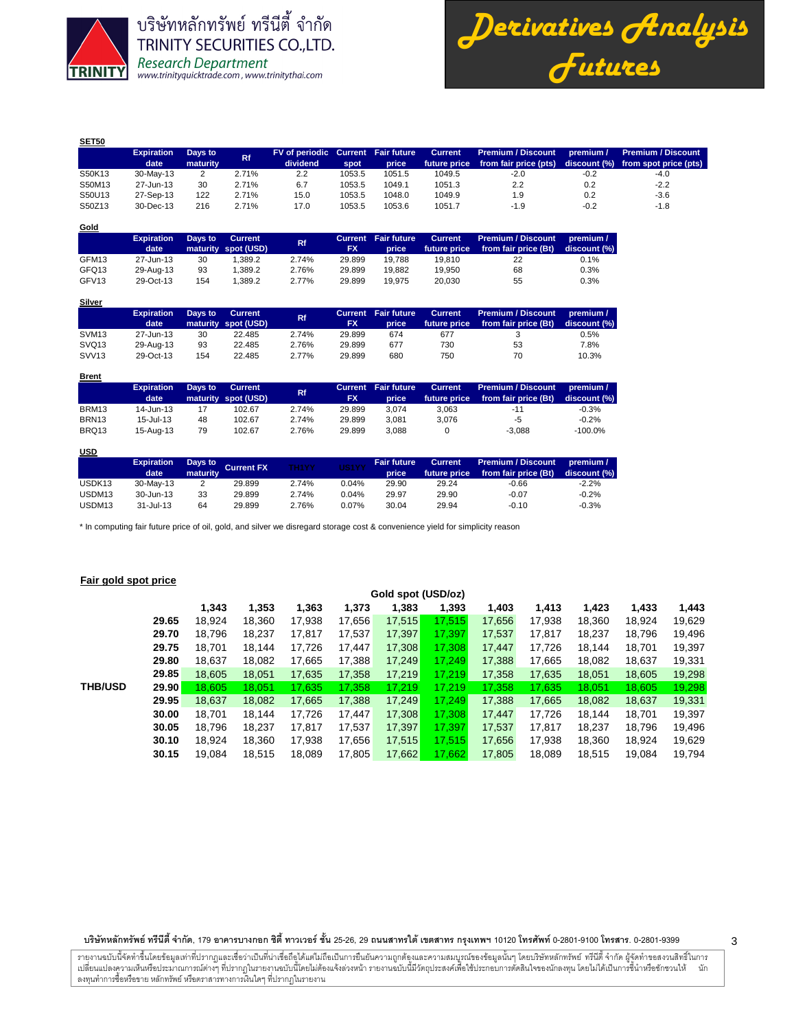

*Derivatives Analysis Futures*

| <b>SET50</b> |                   |          |       |                                    |        |        |                |                           |           |                                    |
|--------------|-------------------|----------|-------|------------------------------------|--------|--------|----------------|---------------------------|-----------|------------------------------------|
|              | <b>Expiration</b> | Days to  | Rf.   | FV of periodic Current Fair future |        |        | <b>Current</b> | <b>Premium / Discount</b> | premium / | <b>Premium / Discount</b>          |
|              | date              | maturity |       | dividend                           | spot   | price  | future price   | from fair price (pts)     |           | discount (%) from spot price (pts) |
| S50K13       | 30-May-13         |          | 2.71% | 2.2                                | 1053.5 | 1051.5 | 1049.5         | $-2.0$                    | $-0.2$    | $-4.0$                             |
| S50M13       | 27-Jun-13         | 30       | 2.71% | 6.7                                | 1053.5 | 1049.1 | 1051.3         | 2.2                       | 0.2       | $-2.2$                             |
| S50U13       | 27-Sep-13         | 122      | 2.71% | 15.0                               | 1053.5 | 1048.0 | 1049.9         | 1.9                       | 0.2       | $-3.6$                             |
| S50Z13       | 30-Dec-13         | 216      | 2.71% | 17.0                               | 1053.5 | 1053.6 | 1051.7         | $-1.9$                    | $-0.2$    | $-1.8$                             |

| Gold              |                   |         |                                       |       |           |                            |                                |                                                   |                           |
|-------------------|-------------------|---------|---------------------------------------|-------|-----------|----------------------------|--------------------------------|---------------------------------------------------|---------------------------|
|                   | <b>Expiration</b> | Days to | <b>Current</b><br>maturity spot (USD) | Rf    | <b>FX</b> | <b>Current Fair future</b> | <b>Current</b><br>future price | <b>Premium / Discount</b><br>from fair price (Bt) | premium /<br>discount (%) |
|                   | date              |         |                                       |       |           | price                      |                                |                                                   |                           |
| GFM13             | 27-Jun-13         | 30      | 1.389.2                               | 2.74% | 29.899    | 19.788                     | 19.810                         | 22                                                | 0.1%                      |
| GFQ13             | 29-Aug-13         | 93      | 1.389.2                               | 2.76% | 29.899    | 19.882                     | 19.950                         | 68                                                | 0.3%                      |
| GFV <sub>13</sub> | 29-Oct-13         | 154     | 1.389.2                               | 2.77% | 29.899    | 19.975                     | 20.030                         | 55                                                | 0.3%                      |

|                   | <b>Expiration</b><br>date | Davs to | <b>Current</b><br>maturity spot (USD) | <b>Rf</b> | <b>Current</b><br>FX | <b>Fair future</b><br><b>price</b> | <b>Current</b><br>future price | Premium / Discount<br>from fair price (Bt) | premium /<br>discount (%) |
|-------------------|---------------------------|---------|---------------------------------------|-----------|----------------------|------------------------------------|--------------------------------|--------------------------------------------|---------------------------|
| SVM <sub>13</sub> | 27-Jun-13                 | 30      | 22.485                                | 2.74%     | 29.899               | 674                                | 677                            |                                            | 0.5%                      |
| SVQ <sub>13</sub> | 29-Aug-13                 | 93      | 22.485                                | 2.76%     | 29.899               | 677                                | 730                            | 53                                         | 7.8%                      |
| SVV <sub>13</sub> | 29-Oct-13                 | 154     | 22.485                                | 2.77%     | 29.899               | 680                                | 750                            | 70                                         | 10.3%                     |

| <b>Brent</b>      |                   |         |                     |       |           |                            |                |                           |              |
|-------------------|-------------------|---------|---------------------|-------|-----------|----------------------------|----------------|---------------------------|--------------|
|                   | <b>Expiration</b> | Days to | Current             | Rf.   |           | <b>Current Fair future</b> | <b>Current</b> | <b>Premium / Discount</b> | premium /    |
|                   | date              |         | maturity spot (USD) |       | <b>FX</b> | price                      | future price   | from fair price (Bt)      | discount (%) |
| BRM13             | 14-Jun-13         | 17      | 102.67              | 2.74% | 29.899    | 3.074                      | 3.063          | $-11$                     | $-0.3%$      |
| BRN <sub>13</sub> | $15 -$ Jul-13     | 48      | 102.67              | 2.74% | 29.899    | 3.081                      | 3.076          | -5                        | $-0.2%$      |
| BRQ13             | 15-Aug-13         | 79      | 102.67              | 2.76% | 29.899    | 3.088                      |                | $-3.088$                  | $-100.0%$    |

### **USD**

|                    | <b>Expiration</b><br>date | maturity | Days to Current FX | <b>TH1YY</b> | US1YY | <b>Fair future</b><br>price | Current<br>future price | <b>Premium / Discount</b><br>from fair price (Bt) | . premium /<br>discount (%) |
|--------------------|---------------------------|----------|--------------------|--------------|-------|-----------------------------|-------------------------|---------------------------------------------------|-----------------------------|
| USDK <sub>13</sub> | 30-May-13                 |          | 29.899             | 2.74%        | 0.04% | 29.90                       | 29.24                   | $-0.66$                                           | $-2.2%$                     |
| USDM13             | 30-Jun-13                 | 33       | 29.899             | 2.74%        | 0.04% | 29.97                       | 29.90                   | $-0.07$                                           | $-0.2%$                     |
| USDM <sub>13</sub> | 31-Jul-13                 | 64       | 29.899             | 2.76%        | 0.07% | 30.04                       | 29.94                   | $-0.10$                                           | $-0.3%$                     |

\* In computing fair future price of oil, gold, and silver we disregard storage cost & convenience yield for simplicity reason

## **Fair gold spot price**

|                |       | Gold spot (USD/oz) |        |        |        |        |        |        |        |        |        |        |  |  |  |  |
|----------------|-------|--------------------|--------|--------|--------|--------|--------|--------|--------|--------|--------|--------|--|--|--|--|
|                |       | 1.343              | 1,353  | 1,363  | 1,373  | 1,383  | 1,393  | 1,403  | 1,413  | 1,423  | 1,433  | 1,443  |  |  |  |  |
|                | 29.65 | 18.924             | 18.360 | 17.938 | 17,656 | 17,515 | 17.515 | 17.656 | 17.938 | 18,360 | 18.924 | 19,629 |  |  |  |  |
|                | 29.70 | 18.796             | 18.237 | 17.817 | 17,537 | 17,397 | 17.397 | 17,537 | 17.817 | 18,237 | 18.796 | 19,496 |  |  |  |  |
|                | 29.75 | 18.701             | 18.144 | 17,726 | 17,447 | 17,308 | 17.308 | 17.447 | 17,726 | 18,144 | 18.701 | 19,397 |  |  |  |  |
|                | 29.80 | 18.637             | 18,082 | 17,665 | 17,388 | 17,249 | 17.249 | 17,388 | 17,665 | 18.082 | 18,637 | 19,331 |  |  |  |  |
|                | 29.85 | 18,605             | 18.051 | 17,635 | 17,358 | 17,219 | 17.219 | 17,358 | 17,635 | 18,051 | 18,605 | 19,298 |  |  |  |  |
| <b>THB/USD</b> | 29.90 | 18.605             | 18,051 | 17,635 | 17,358 | 17,219 | 17.219 | 17.358 | 17.635 | 18.051 | 18.605 | 19,298 |  |  |  |  |
|                | 29.95 | 18,637             | 18,082 | 17,665 | 17,388 | 17,249 | 17.249 | 17.388 | 17,665 | 18,082 | 18,637 | 19,331 |  |  |  |  |
|                | 30.00 | 18.701             | 18.144 | 17.726 | 17.447 | 17,308 | 17.308 | 17.447 | 17.726 | 18.144 | 18.701 | 19,397 |  |  |  |  |
|                | 30.05 | 18.796             | 18.237 | 17.817 | 17,537 | 17,397 | 17.397 | 17,537 | 17.817 | 18,237 | 18.796 | 19,496 |  |  |  |  |
|                | 30.10 | 18.924             | 18.360 | 17.938 | 17.656 | 17,515 | 17.515 | 17.656 | 17.938 | 18.360 | 18.924 | 19,629 |  |  |  |  |
|                | 30.15 | 19.084             | 18.515 | 18.089 | 17.805 | 17,662 | 17.662 | 17.805 | 18.089 | 18.515 | 19.084 | 19,794 |  |  |  |  |

บริษัทหลักทรัพย์ ทรีนีตี้ จำกัด, 179 อาคารบางกอก ซิตี้ ทาวเวอร์ ชั้น 25-26, 29 ถนนสาทรได้ เขตสาร กรุงเทพฯ 10120 โทรศัพท์ 0-2801-9399 คำสาร. 0-2801-9399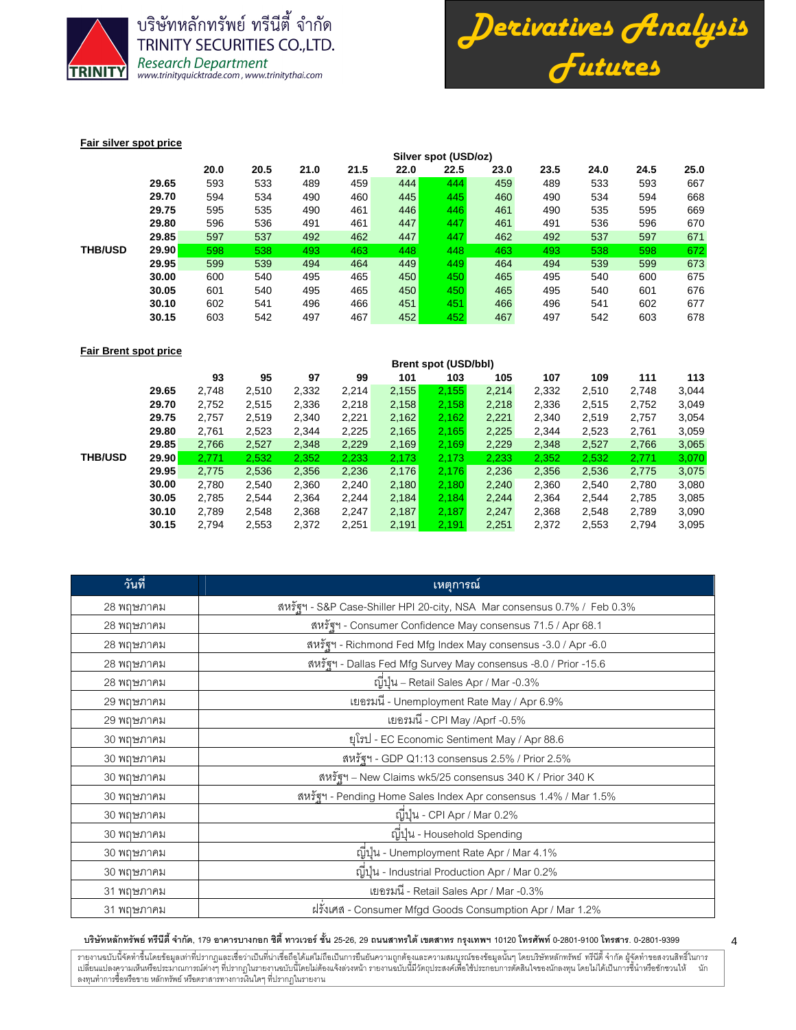



#### **Fair silver spot price**

|                |       | Silver spot (USD/oz) |      |      |      |      |      |      |      |      |      |      |  |  |  |
|----------------|-------|----------------------|------|------|------|------|------|------|------|------|------|------|--|--|--|
|                |       | 20.0                 | 20.5 | 21.0 | 21.5 | 22.0 | 22.5 | 23.0 | 23.5 | 24.0 | 24.5 | 25.0 |  |  |  |
|                | 29.65 | 593                  | 533  | 489  | 459  | 444  | 444  | 459  | 489  | 533  | 593  | 667  |  |  |  |
|                | 29.70 | 594                  | 534  | 490  | 460  | 445  | 445  | 460  | 490  | 534  | 594  | 668  |  |  |  |
|                | 29.75 | 595                  | 535  | 490  | 461  | 446  | 446  | 461  | 490  | 535  | 595  | 669  |  |  |  |
|                | 29.80 | 596                  | 536  | 491  | 461  | 447  | 447  | 461  | 491  | 536  | 596  | 670  |  |  |  |
|                | 29.85 | 597                  | 537  | 492  | 462  | 447  | 447  | 462  | 492  | 537  | 597  | 671  |  |  |  |
| <b>THB/USD</b> | 29.90 | 598                  | 538  | 493  | 463  | 448  | 448  | 463  | 493  | 538  | 598  | 672  |  |  |  |
|                | 29.95 | 599                  | 539  | 494  | 464  | 449  | 449  | 464  | 494  | 539  | 599  | 673  |  |  |  |
|                | 30.00 | 600                  | 540  | 495  | 465  | 450  | 450  | 465  | 495  | 540  | 600  | 675  |  |  |  |
|                | 30.05 | 601                  | 540  | 495  | 465  | 450  | 450  | 465  | 495  | 540  | 601  | 676  |  |  |  |
|                | 30.10 | 602                  | 541  | 496  | 466  | 451  | 451  | 466  | 496  | 541  | 602  | 677  |  |  |  |
|                | 30.15 | 603                  | 542  | 497  | 467  | 452  | 452  | 467  | 497  | 542  | 603  | 678  |  |  |  |

### **Fair Brent spot price**

|                |       | <b>Brent spot (USD/bbl)</b> |       |       |       |       |       |       |       |       |       |       |
|----------------|-------|-----------------------------|-------|-------|-------|-------|-------|-------|-------|-------|-------|-------|
|                |       | 93                          | 95    | 97    | 99    | 101   | 103   | 105   | 107   | 109   | 111   | 113   |
|                | 29.65 | 2,748                       | 2,510 | 2,332 | 2,214 | 2,155 | 2,155 | 2,214 | 2,332 | 2,510 | 2,748 | 3,044 |
|                | 29.70 | 2,752                       | 2,515 | 2,336 | 2,218 | 2,158 | 2,158 | 2,218 | 2,336 | 2,515 | 2,752 | 3,049 |
| <b>THB/USD</b> | 29.75 | 2,757                       | 2,519 | 2,340 | 2,221 | 2,162 | 2,162 | 2,221 | 2,340 | 2,519 | 2,757 | 3,054 |
|                | 29.80 | 2,761                       | 2,523 | 2,344 | 2,225 | 2,165 | 2,165 | 2,225 | 2,344 | 2,523 | 2,761 | 3,059 |
|                | 29.85 | 2,766                       | 2,527 | 2,348 | 2,229 | 2,169 | 2,169 | 2,229 | 2,348 | 2,527 | 2,766 | 3,065 |
|                | 29.90 | 2.771                       | 2,532 | 2,352 | 2,233 | 2,173 | 2,173 | 2,233 | 2,352 | 2,532 | 2,771 | 3,070 |
|                | 29.95 | 2,775                       | 2,536 | 2,356 | 2,236 | 2,176 | 2,176 | 2,236 | 2,356 | 2,536 | 2,775 | 3,075 |
|                | 30.00 | 2,780                       | 2,540 | 2,360 | 2,240 | 2,180 | 2.180 | 2,240 | 2,360 | 2,540 | 2,780 | 3,080 |
|                | 30.05 | 2,785                       | 2.544 | 2,364 | 2.244 | 2,184 | 2.184 | 2,244 | 2,364 | 2,544 | 2,785 | 3,085 |
|                | 30.10 | 2,789                       | 2,548 | 2,368 | 2,247 | 2,187 | 2.187 | 2,247 | 2,368 | 2,548 | 2,789 | 3,090 |
|                | 30.15 | 2,794                       | 2,553 | 2,372 | 2,251 | 2,191 | 2,191 | 2,251 | 2,372 | 2,553 | 2,794 | 3,095 |

| วันที่     | ้เหตุการณ์                                                               |
|------------|--------------------------------------------------------------------------|
| 28 พฤษภาคม | สหรัฐฯ - S&P Case-Shiller HPI 20-city, NSA Mar consensus 0.7% / Feb 0.3% |
| 28 พฤษภาคม | สหรัฐฯ - Consumer Confidence May consensus 71.5 / Apr 68.1               |
| 28 พฤษภาคม | สหรัฐฯ - Richmond Fed Mfg Index May consensus -3.0 / Apr -6.0            |
| 28 พฤษภาคม | สหรัฐฯ - Dallas Fed Mfg Survey May consensus -8.0 / Prior -15.6          |
| 28 พฤษภาคม | ญี่ปุ่น – Retail Sales Apr / Mar -0.3%                                   |
| 29 พฤษภาคม | เยอรมนี - Unemployment Rate May / Apr 6.9%                               |
| 29 พฤษภาคม | เยอรมนี - CPI May /Aprf -0.5%                                            |
| 30 พฤษภาคม | ยุโรป - EC Economic Sentiment May / Apr 88.6                             |
| 30 พฤษภาคม | สหรัฐฯ - GDP Q1:13 consensus 2.5% / Prior 2.5%                           |
| 30 พฤษภาคม | สหรัฐฯ – New Claims wk5/25 consensus 340 K / Prior 340 K                 |
| 30 พฤษภาคม | สหรัฐฯ - Pending Home Sales Index Apr consensus 1.4% / Mar 1.5%          |
| 30 พฤษภาคม | ญี่ปุ่น - CPI Apr / Mar 0.2%                                             |
| 30 พฤษภาคม | ญี่ปุ่น - Household Spending                                             |
| 30 พฤษภาคม | ญิปุ่น - Unemployment Rate Apr / Mar 4.1%                                |
| 30 พฤษภาคม | ญี่ปุ่น - Industrial Production Apr / Mar 0.2%                           |
| 31 พฤษภาคม | เยอรมนี - Retail Sales Apr / Mar -0.3%                                   |
| 31 พฤษภาคม | ฝรั่งเศส - Consumer Mfgd Goods Consumption Apr / Mar 1.2%                |

#### บริษัทหลักทรัพย์ ทรีนีตี้ จำกัด, 179 อาคารบางกอก ซิตี้ ทาวเวอร์ ชั้น 25-26, 29 ถนนสาทรได้ เขตสาร กรุงเทพฯ 10120 โทรศัพท์ 0-2801-9399 คำสาร. 0-2801-9399